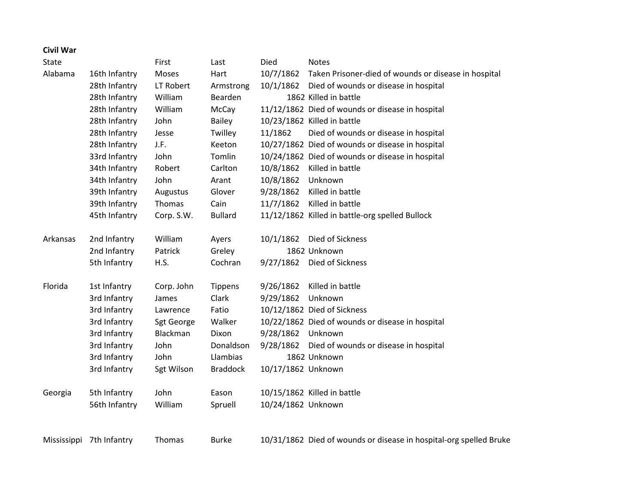## **Civil War**

| State    |                          | First      | Last            | Died               | <b>Notes</b>                                                       |
|----------|--------------------------|------------|-----------------|--------------------|--------------------------------------------------------------------|
| Alabama  | 16th Infantry            | Moses      | Hart            | 10/7/1862          | Taken Prisoner-died of wounds or disease in hospital               |
|          | 28th Infantry            | LT Robert  | Armstrong       | 10/1/1862          | Died of wounds or disease in hospital                              |
|          | 28th Infantry            | William    | Bearden         |                    | 1862 Killed in battle                                              |
|          | 28th Infantry            | William    | McCay           |                    | 11/12/1862 Died of wounds or disease in hospital                   |
|          | 28th Infantry            | John       | Bailey          |                    | 10/23/1862 Killed in battle                                        |
|          | 28th Infantry            | Jesse      | Twilley         | 11/1862            | Died of wounds or disease in hospital                              |
|          | 28th Infantry            | J.F.       | Keeton          |                    | 10/27/1862 Died of wounds or disease in hospital                   |
|          | 33rd Infantry            | John       | Tomlin          |                    | 10/24/1862 Died of wounds or disease in hospital                   |
|          | 34th Infantry            | Robert     | Carlton         | 10/8/1862          | Killed in battle                                                   |
|          | 34th Infantry            | John       | Arant           | 10/8/1862          | Unknown                                                            |
|          | 39th Infantry            | Augustus   | Glover          | 9/28/1862          | Killed in battle                                                   |
|          | 39th Infantry            | Thomas     | Cain            | 11/7/1862          | Killed in battle                                                   |
|          | 45th Infantry            | Corp. S.W. | <b>Bullard</b>  |                    | 11/12/1862 Killed in battle-org spelled Bullock                    |
| Arkansas | 2nd Infantry             | William    | Ayers           | 10/1/1862          | Died of Sickness                                                   |
|          | 2nd Infantry             | Patrick    | Greley          |                    | 1862 Unknown                                                       |
|          | 5th Infantry             | H.S.       | Cochran         | 9/27/1862          | Died of Sickness                                                   |
| Florida  | 1st Infantry             | Corp. John | Tippens         | 9/26/1862          | Killed in battle                                                   |
|          | 3rd Infantry             | James      | Clark           | 9/29/1862          | Unknown                                                            |
|          | 3rd Infantry             | Lawrence   | Fatio           |                    | 10/12/1862 Died of Sickness                                        |
|          | 3rd Infantry             | Sgt George | Walker          |                    | 10/22/1862 Died of wounds or disease in hospital                   |
|          | 3rd Infantry             | Blackman   | Dixon           | 9/28/1862          | Unknown                                                            |
|          | 3rd Infantry             | John       | Donaldson       | 9/28/1862          | Died of wounds or disease in hospital                              |
|          | 3rd Infantry             | John       | Llambias        |                    | 1862 Unknown                                                       |
|          | 3rd Infantry             | Sgt Wilson | <b>Braddock</b> | 10/17/1862 Unknown |                                                                    |
| Georgia  | 5th Infantry             | John       | Eason           |                    | 10/15/1862 Killed in battle                                        |
|          | 56th Infantry            | William    | Spruell         | 10/24/1862 Unknown |                                                                    |
|          |                          |            |                 |                    |                                                                    |
|          | Mississippi 7th Infantry | Thomas     | <b>Burke</b>    |                    | 10/31/1862 Died of wounds or disease in hospital-org spelled Bruke |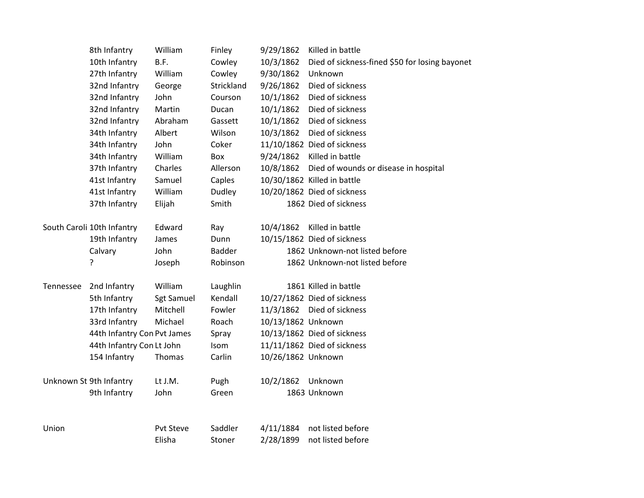|                  | 8th Infantry                | William           | Finley        | 9/29/1862          | Killed in battle                               |
|------------------|-----------------------------|-------------------|---------------|--------------------|------------------------------------------------|
|                  | 10th Infantry               | B.F.              | Cowley        | 10/3/1862          | Died of sickness-fined \$50 for losing bayonet |
|                  | 27th Infantry               | William           | Cowley        | 9/30/1862          | Unknown                                        |
|                  | 32nd Infantry               | George            | Strickland    | 9/26/1862          | Died of sickness                               |
|                  | 32nd Infantry               | John              | Courson       | 10/1/1862          | Died of sickness                               |
|                  | 32nd Infantry               | Martin            | Ducan         | 10/1/1862          | Died of sickness                               |
|                  | 32nd Infantry               | Abraham           | Gassett       | 10/1/1862          | Died of sickness                               |
|                  | 34th Infantry               | Albert            | Wilson        | 10/3/1862          | Died of sickness                               |
|                  | 34th Infantry               | John              | Coker         |                    | 11/10/1862 Died of sickness                    |
|                  | 34th Infantry               | William           | Box           | 9/24/1862          | Killed in battle                               |
|                  | 37th Infantry               | Charles           | Allerson      | 10/8/1862          | Died of wounds or disease in hospital          |
|                  | 41st Infantry               | Samuel            | Caples        |                    | 10/30/1862 Killed in battle                    |
|                  | 41st Infantry               | William           | Dudley        |                    | 10/20/1862 Died of sickness                    |
|                  | 37th Infantry               | Elijah            | Smith         |                    | 1862 Died of sickness                          |
|                  | South Caroli 10th Infantry  | Edward            | Ray           | 10/4/1862          | Killed in battle                               |
|                  | 19th Infantry               | James             | Dunn          |                    | 10/15/1862 Died of sickness                    |
|                  | Calvary                     | John              | <b>Badder</b> |                    | 1862 Unknown-not listed before                 |
|                  | ŗ                           | Joseph            | Robinson      |                    | 1862 Unknown-not listed before                 |
| <b>Tennessee</b> | 2nd Infantry                | William           | Laughlin      |                    | 1861 Killed in battle                          |
|                  | 5th Infantry                | <b>Sgt Samuel</b> | Kendall       |                    | 10/27/1862 Died of sickness                    |
|                  | 17th Infantry               | Mitchell          | Fowler        |                    | 11/3/1862 Died of sickness                     |
|                  | 33rd Infantry               | Michael           | Roach         | 10/13/1862 Unknown |                                                |
|                  | 44th Infantry Con Pvt James |                   | Spray         |                    | 10/13/1862 Died of sickness                    |
|                  | 44th Infantry Con Lt John   |                   | Isom          |                    | 11/11/1862 Died of sickness                    |
|                  | 154 Infantry                | Thomas            | Carlin        | 10/26/1862 Unknown |                                                |
|                  | Unknown St 9th Infantry     | Lt J.M.           | Pugh          | 10/2/1862          | Unknown                                        |
|                  | 9th Infantry                | John              | Green         |                    | 1863 Unknown                                   |
| Union            |                             | Pvt Steve         | Saddler       | 4/11/1884          | not listed before                              |
|                  |                             | Elisha            |               | 2/28/1899          | not listed before                              |
|                  |                             |                   | Stoner        |                    |                                                |